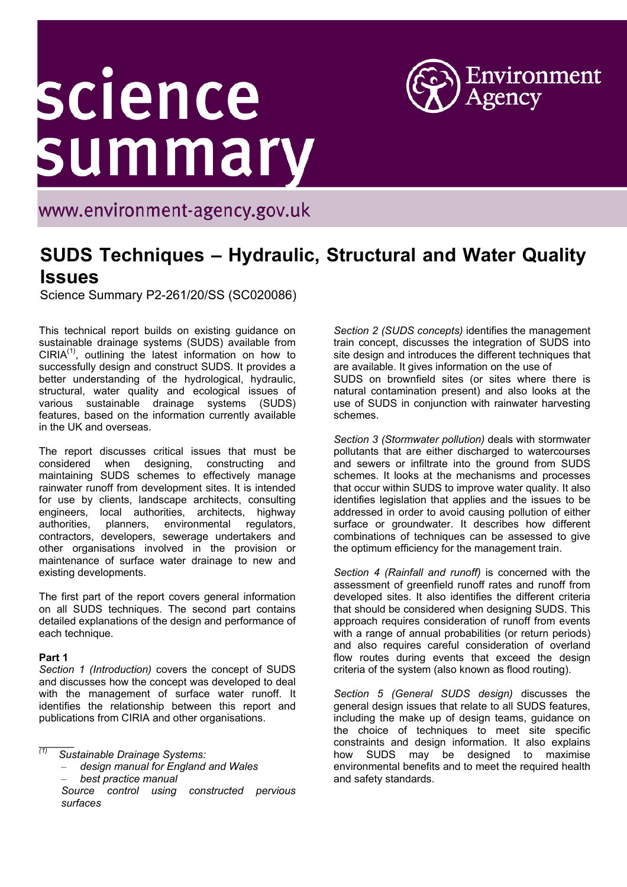# science<br>summary



www.environment-agency.gov.uk

# **SUDS Techniques – Hydraulic, Structural and Water Quality Issues**

Science Summary P2-261/20/SS (SC020086)

This technical report builds on existing guidance on sustainable drainage systems (SUDS) available from  $CIRIA<sup>(1)</sup>$ , outlining the latest information on how to successfully design and construct SUDS. It provides a better understanding of the hydrological, hydraulic, structural, water quality and ecological issues of various sustainable drainage systems (SUDS) features, based on the information currently available in the UK and overseas.

The report discusses critical issues that must be considered when designing, constructing and maintaining SUDS schemes to effectively manage rainwater runoff from development sites. It is intended for use by clients, landscape architects, consulting engineers, local authorities, architects, highway authorities, planners, environmental regulators, contractors, developers, sewerage undertakers and other organisations involved in the provision or maintenance of surface water drainage to new and existing developments.

The first part of the report covers general information on all SUDS techniques. The second part contains detailed explanations of the design and performance of each technique.

### **Part 1**

 $\overline{\phantom{a}}$ 

*Section 1 (Introduction)* covers the concept of SUDS and discusses how the concept was developed to deal with the management of surface water runoff. It identifies the relationship between this report and publications from CIRIA and other organisations.

– *design manual for England and Wales*

– *best practice manual*

*Section 2 (SUDS concepts)* identifies the management train concept, discusses the integration of SUDS into site design and introduces the different techniques that are available. It gives information on the use of SUDS on brownfield sites (or sites where there is natural contamination present) and also looks at the use of SUDS in conjunction with rainwater harvesting schemes.

*Section 3 (Stormwater pollution)* deals with stormwater pollutants that are either discharged to watercourses and sewers or infiltrate into the ground from SUDS schemes. It looks at the mechanisms and processes that occur within SUDS to improve water quality. It also identifies legislation that applies and the issues to be addressed in order to avoid causing pollution of either surface or groundwater. It describes how different combinations of techniques can be assessed to give the optimum efficiency for the management train.

*Section 4 (Rainfall and runoff)* is concerned with the assessment of greenfield runoff rates and runoff from developed sites. It also identifies the different criteria that should be considered when designing SUDS. This approach requires consideration of runoff from events with a range of annual probabilities (or return periods) and also requires careful consideration of overland flow routes during events that exceed the design criteria of the system (also known as flood routing).

*Section 5 (General SUDS design)* discusses the general design issues that relate to all SUDS features, including the make up of design teams, guidance on the choice of techniques to meet site specific constraints and design information. It also explains how SUDS may be designed to maximise environmental benefits and to meet the required health and safety standards.

*<sup>(1)</sup> Sustainable Drainage Systems:*

*Source control using constructed pervious surfaces*